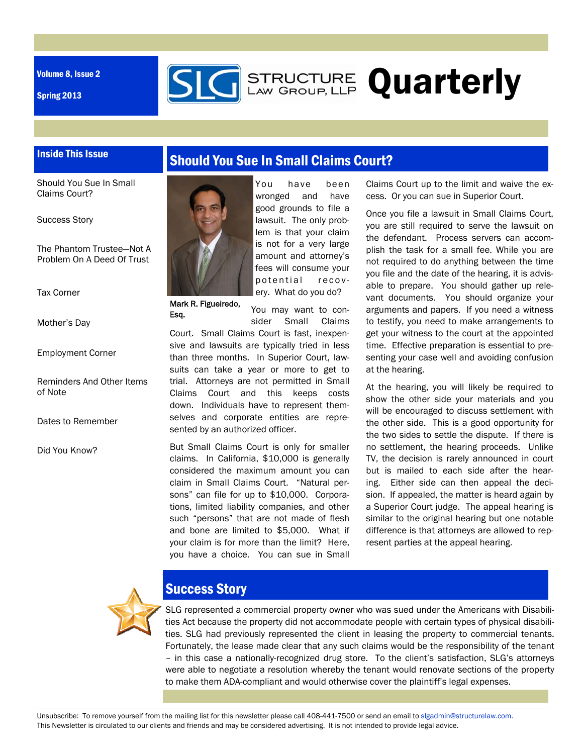Volume 8, Issue 2

Inside This Issue

Spring 2013



Should You Sue In Small Claims Court?

Success Story

The Phantom Trustee—Not A Problem On A Deed Of Trust

Tax Corner

Mother's Day

Employment Corner

Reminders And Other Items of Note

Dates to Remember

Did You Know?



Mark R. Figueiredo, Esq.

You have been wronged and have good grounds to file a lawsuit. The only problem is that your claim is not for a very large amount and attorney's fees will consume your potential recovery. What do you do?

**SIG** STRUCTURE Quarterly

You may want to consider Small Claims

Court. Small Claims Court is fast, inexpensive and lawsuits are typically tried in less than three months. In Superior Court, lawsuits can take a year or more to get to trial. Attorneys are not permitted in Small Claims Court and this keeps costs down. Individuals have to represent themselves and corporate entities are represented by an authorized officer.

But Small Claims Court is only for smaller claims. In California, \$10,000 is generally considered the maximum amount you can claim in Small Claims Court. "Natural persons" can file for up to \$10,000. Corporations, limited liability companies, and other such "persons" that are not made of flesh and bone are limited to \$5,000. What if your claim is for more than the limit? Here, you have a choice. You can sue in Small

Claims Court up to the limit and waive the excess. Or you can sue in Superior Court.

Once you file a lawsuit in Small Claims Court, you are still required to serve the lawsuit on the defendant. Process servers can accomplish the task for a small fee. While you are not required to do anything between the time you file and the date of the hearing, it is advisable to prepare. You should gather up relevant documents. You should organize your arguments and papers. If you need a witness to testify, you need to make arrangements to get your witness to the court at the appointed time. Effective preparation is essential to presenting your case well and avoiding confusion at the hearing.

At the hearing, you will likely be required to show the other side your materials and you will be encouraged to discuss settlement with the other side. This is a good opportunity for the two sides to settle the dispute. If there is no settlement, the hearing proceeds. Unlike TV, the decision is rarely announced in court but is mailed to each side after the hearing. Either side can then appeal the decision. If appealed, the matter is heard again by a Superior Court judge. The appeal hearing is similar to the original hearing but one notable difference is that attorneys are allowed to represent parties at the appeal hearing.



# Success Story

SLG represented a commercial property owner who was sued under the Americans with Disabilities Act because the property did not accommodate people with certain types of physical disabilities. SLG had previously represented the client in leasing the property to commercial tenants. Fortunately, the lease made clear that any such claims would be the responsibility of the tenant – in this case a nationally-recognized drug store. To the client's satisfaction, SLG's attorneys were able to negotiate a resolution whereby the tenant would renovate sections of the property to make them ADA-compliant and would otherwise cover the plaintiff's legal expenses.

Unsubscribe: To remove yourself from the mailing list for this newsletter please call 408-441-7500 or send an email to slgadmin@structurelaw.com. This Newsletter is circulated to our clients and friends and may be considered advertising. It is not intended to provide legal advice.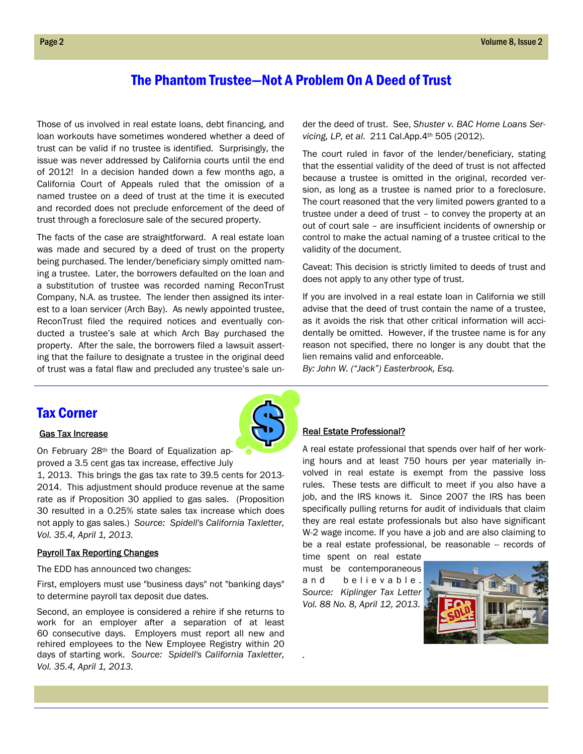### The Phantom Trustee—Not A Problem On A Deed of Trust

Those of us involved in real estate loans, debt financing, and loan workouts have sometimes wondered whether a deed of trust can be valid if no trustee is identified. Surprisingly, the issue was never addressed by California courts until the end of 2012! In a decision handed down a few months ago, a California Court of Appeals ruled that the omission of a named trustee on a deed of trust at the time it is executed and recorded does not preclude enforcement of the deed of trust through a foreclosure sale of the secured property.

The facts of the case are straightforward. A real estate loan was made and secured by a deed of trust on the property being purchased. The lender/beneficiary simply omitted naming a trustee. Later, the borrowers defaulted on the loan and a substitution of trustee was recorded naming ReconTrust Company, N.A. as trustee. The lender then assigned its interest to a loan servicer (Arch Bay). As newly appointed trustee, ReconTrust filed the required notices and eventually conducted a trustee's sale at which Arch Bay purchased the property. After the sale, the borrowers filed a lawsuit asserting that the failure to designate a trustee in the original deed of trust was a fatal flaw and precluded any trustee's sale un-

der the deed of trust. See, *Shuster v. BAC Home Loans Servicing, LP, et al*. 211 Cal.App.4th 505 (2012).

The court ruled in favor of the lender/beneficiary, stating that the essential validity of the deed of trust is not affected because a trustee is omitted in the original, recorded version, as long as a trustee is named prior to a foreclosure. The court reasoned that the very limited powers granted to a trustee under a deed of trust – to convey the property at an out of court sale – are insufficient incidents of ownership or control to make the actual naming of a trustee critical to the validity of the document.

Caveat: This decision is strictly limited to deeds of trust and does not apply to any other type of trust.

If you are involved in a real estate loan in California we still advise that the deed of trust contain the name of a trustee, as it avoids the risk that other critical information will accidentally be omitted. However, if the trustee name is for any reason not specified, there no longer is any doubt that the lien remains valid and enforceable.

*By: John W. ("Jack") Easterbrook, Esq.* 

### Tax Corner

### Gas Tax Increase

On February 28<sup>th</sup> the Board of Equalization approved a 3.5 cent gas tax increase, effective July

1, 2013. This brings the gas tax rate to 39.5 cents for 2013- 2014. This adjustment should produce revenue at the same rate as if Proposition 30 applied to gas sales. (Proposition 30 resulted in a 0.25% state sales tax increase which does not apply to gas sales.) *Source: Spidell's California Taxletter, Vol. 35.4, April 1, 2013.* 

#### Payroll Tax Reporting Changes

The EDD has announced two changes:

First, employers must use "business days" not "banking days" to determine payroll tax deposit due dates.

Second, an employee is considered a rehire if she returns to work for an employer after a separation of at least 60 consecutive days. Employers must report all new and rehired employees to the New Employee Registry within 20 days of starting work. *Source: Spidell's California Taxletter, Vol. 35.4, April 1, 2013.* 

#### Real Estate Professional?

A real estate professional that spends over half of her working hours and at least 750 hours per year materially involved in real estate is exempt from the passive loss rules. These tests are difficult to meet if you also have a job, and the IRS knows it. Since 2007 the IRS has been specifically pulling returns for audit of individuals that claim they are real estate professionals but also have significant W-2 wage income. If you have a job and are also claiming to be a real estate professional, be reasonable -- records of

time spent on real estate must be contemporaneous and believable. *Source: Kiplinger Tax Letter Vol. 88 No. 8, April 12, 2013.* 

*.* 



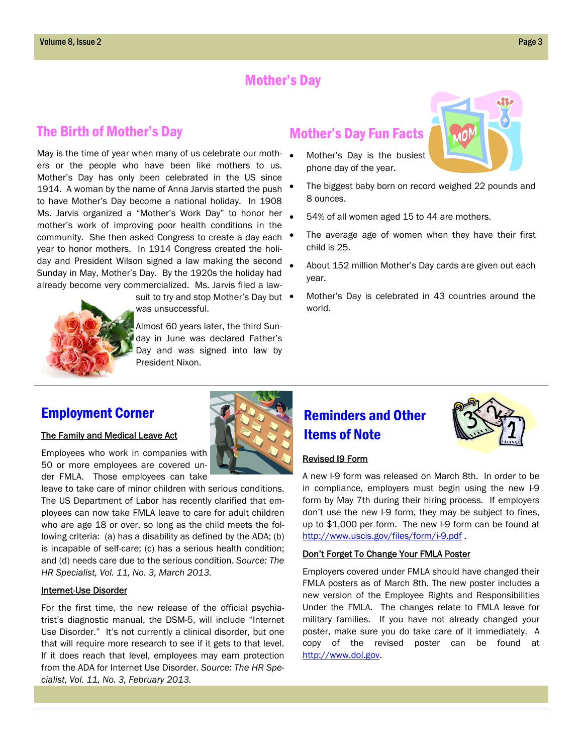## Mother's Day

## The Birth of Mother's Day

May is the time of year when many of us celebrate our mothers or the people who have been like mothers to us. Mother's Day has only been celebrated in the US since 1914. A woman by the name of Anna Jarvis started the push to have Mother's Day become a national holiday. In 1908 Ms. Jarvis organized a "Mother's Work Day" to honor her mother's work of improving poor health conditions in the community. She then asked Congress to create a day each year to honor mothers. In 1914 Congress created the holiday and President Wilson signed a law making the second Sunday in May, Mother's Day. By the 1920s the holiday had already become very commercialized. Ms. Jarvis filed a law-

suit to try and stop Mother's Day but  $\bullet$ was unsuccessful.

Almost 60 years later, the third Sunday in June was declared Father's Day and was signed into law by President Nixon.

# Mother's Day Fun Facts

- Mother's Day is the busiest phone day of the year.
- The biggest baby born on record weighed 22 pounds and 8 ounces.
- 54% of all women aged 15 to 44 are mothers.
- The average age of women when they have their first child is 25.
- About 152 million Mother's Day cards are given out each year.
- Mother's Day is celebrated in 43 countries around the world.

## Employment Corner

### The Family and Medical Leave Act

Employees who work in companies with 50 or more employees are covered under FMLA. Those employees can take

leave to take care of minor children with serious conditions. The US Department of Labor has recently clarified that employees can now take FMLA leave to care for adult children who are age 18 or over, so long as the child meets the following criteria: (a) has a disability as defined by the ADA; (b) is incapable of self-care; (c) has a serious health condition; and (d) needs care due to the serious condition. *Source: The HR Specialist, Vol. 11, No. 3, March 2013.* 

### Internet-Use Disorder

For the first time, the new release of the official psychiatrist's diagnostic manual, the DSM-5, will include "Internet Use Disorder." It's not currently a clinical disorder, but one that will require more research to see if it gets to that level. If it does reach that level, employees may earn protection from the ADA for Internet Use Disorder. *Source: The HR Specialist, Vol. 11, No. 3, February 2013.*





### Revised I9 Form

A new I-9 form was released on March 8th. In order to be in compliance, employers must begin using the new I-9 form by May 7th during their hiring process. If employers don't use the new I-9 form, they may be subject to fines, up to \$1,000 per form. The new I-9 form can be found at http://www.uscis.gov/files/form/i-9.pdf .

### Don't Forget To Change Your FMLA Poster

Employers covered under FMLA should have changed their FMLA posters as of March 8th. The new poster includes a new version of the Employee Rights and Responsibilities Under the FMLA. The changes relate to FMLA leave for military families. If you have not already changed your poster, make sure you do take care of it immediately. A copy of the revised poster can be found at http://www.dol.gov.